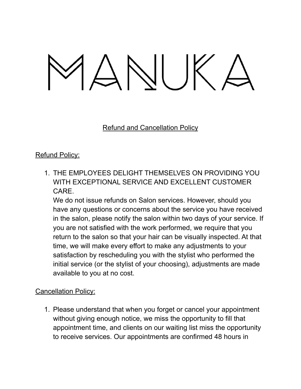## $MNIJK$

Refund and Cancellation Policy

## Refund Policy:

1. THE EMPLOYEES DELIGHT THEMSELVES ON PROVIDING YOU WITH EXCEPTIONAL SERVICE AND EXCELLENT CUSTOMER CARE.

We do not issue refunds on Salon services. However, should you have any questions or concerns about the service you have received in the salon, please notify the salon within two days of your service. If you are not satisfied with the work performed, we require that you return to the salon so that your hair can be visually inspected. At that time, we will make every effort to make any adjustments to your satisfaction by rescheduling you with the stylist who performed the initial service (or the stylist of your choosing), adjustments are made available to you at no cost.

## Cancellation Policy:

1. Please understand that when you forget or cancel your appointment without giving enough notice, we miss the opportunity to fill that appointment time, and clients on our waiting list miss the opportunity to receive services. Our appointments are confirmed 48 hours in